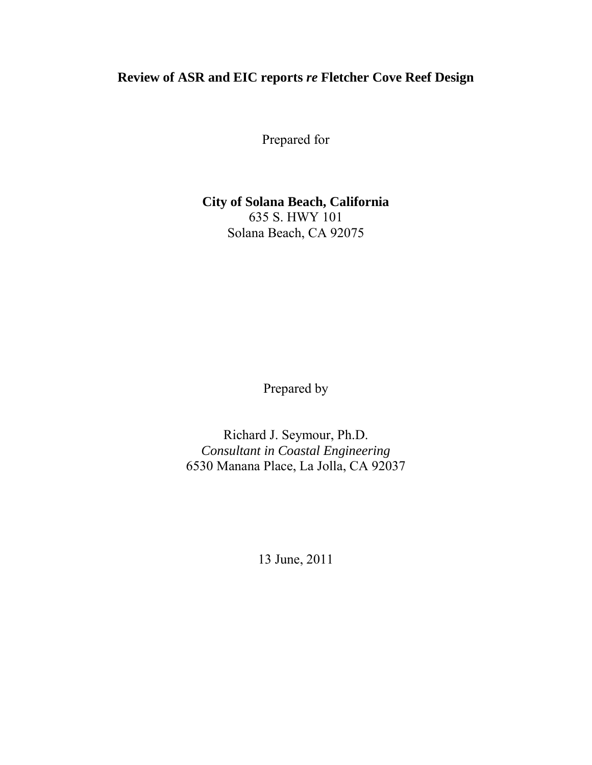# **Review of ASR and EIC reports** *re* **Fletcher Cove Reef Design**

Prepared for

#### **City of Solana Beach, California**  635 S. HWY 101 Solana Beach, CA 92075

Prepared by

Richard J. Seymour, Ph.D. *Consultant in Coastal Engineering*  6530 Manana Place, La Jolla, CA 92037

13 June, 2011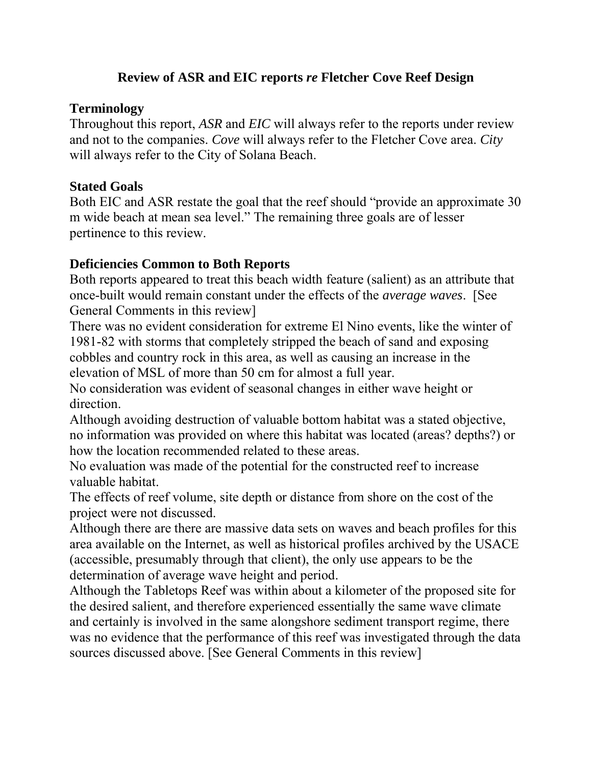# **Review of ASR and EIC reports** *re* **Fletcher Cove Reef Design**

#### **Terminology**

Throughout this report, *ASR* and *EIC* will always refer to the reports under review and not to the companies. *Cove* will always refer to the Fletcher Cove area. *City*  will always refer to the City of Solana Beach.

## **Stated Goals**

Both EIC and ASR restate the goal that the reef should "provide an approximate 30 m wide beach at mean sea level." The remaining three goals are of lesser pertinence to this review.

## **Deficiencies Common to Both Reports**

Both reports appeared to treat this beach width feature (salient) as an attribute that once-built would remain constant under the effects of the *average waves*. [See General Comments in this review]

There was no evident consideration for extreme El Nino events, like the winter of 1981-82 with storms that completely stripped the beach of sand and exposing cobbles and country rock in this area, as well as causing an increase in the elevation of MSL of more than 50 cm for almost a full year.

No consideration was evident of seasonal changes in either wave height or direction.

Although avoiding destruction of valuable bottom habitat was a stated objective, no information was provided on where this habitat was located (areas? depths?) or how the location recommended related to these areas.

No evaluation was made of the potential for the constructed reef to increase valuable habitat.

The effects of reef volume, site depth or distance from shore on the cost of the project were not discussed.

Although there are there are massive data sets on waves and beach profiles for this area available on the Internet, as well as historical profiles archived by the USACE (accessible, presumably through that client), the only use appears to be the determination of average wave height and period.

Although the Tabletops Reef was within about a kilometer of the proposed site for the desired salient, and therefore experienced essentially the same wave climate and certainly is involved in the same alongshore sediment transport regime, there was no evidence that the performance of this reef was investigated through the data sources discussed above. [See General Comments in this review]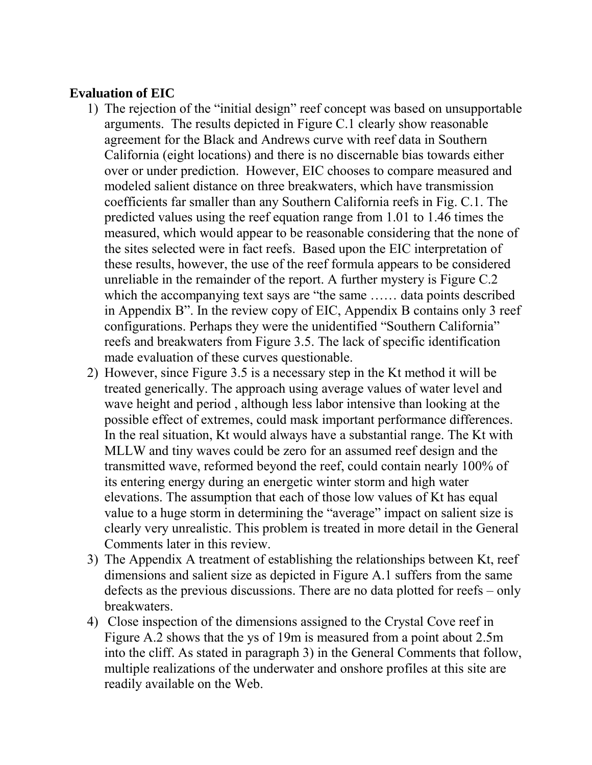## **Evaluation of EIC**

- 1) The rejection of the "initial design" reef concept was based on unsupportable arguments. The results depicted in Figure C.1 clearly show reasonable agreement for the Black and Andrews curve with reef data in Southern California (eight locations) and there is no discernable bias towards either over or under prediction. However, EIC chooses to compare measured and modeled salient distance on three breakwaters, which have transmission coefficients far smaller than any Southern California reefs in Fig. C.1. The predicted values using the reef equation range from 1.01 to 1.46 times the measured, which would appear to be reasonable considering that the none of the sites selected were in fact reefs. Based upon the EIC interpretation of these results, however, the use of the reef formula appears to be considered unreliable in the remainder of the report. A further mystery is Figure C.2 which the accompanying text says are "the same …… data points described in Appendix B". In the review copy of EIC, Appendix B contains only 3 reef configurations. Perhaps they were the unidentified "Southern California" reefs and breakwaters from Figure 3.5. The lack of specific identification made evaluation of these curves questionable.
- 2) However, since Figure 3.5 is a necessary step in the Kt method it will be treated generically. The approach using average values of water level and wave height and period , although less labor intensive than looking at the possible effect of extremes, could mask important performance differences. In the real situation, Kt would always have a substantial range. The Kt with MLLW and tiny waves could be zero for an assumed reef design and the transmitted wave, reformed beyond the reef, could contain nearly 100% of its entering energy during an energetic winter storm and high water elevations. The assumption that each of those low values of Kt has equal value to a huge storm in determining the "average" impact on salient size is clearly very unrealistic. This problem is treated in more detail in the General Comments later in this review.
- 3) The Appendix A treatment of establishing the relationships between Kt, reef dimensions and salient size as depicted in Figure A.1 suffers from the same defects as the previous discussions. There are no data plotted for reefs – only breakwaters.
- 4) Close inspection of the dimensions assigned to the Crystal Cove reef in Figure A.2 shows that the ys of 19m is measured from a point about 2.5m into the cliff. As stated in paragraph 3) in the General Comments that follow, multiple realizations of the underwater and onshore profiles at this site are readily available on the Web.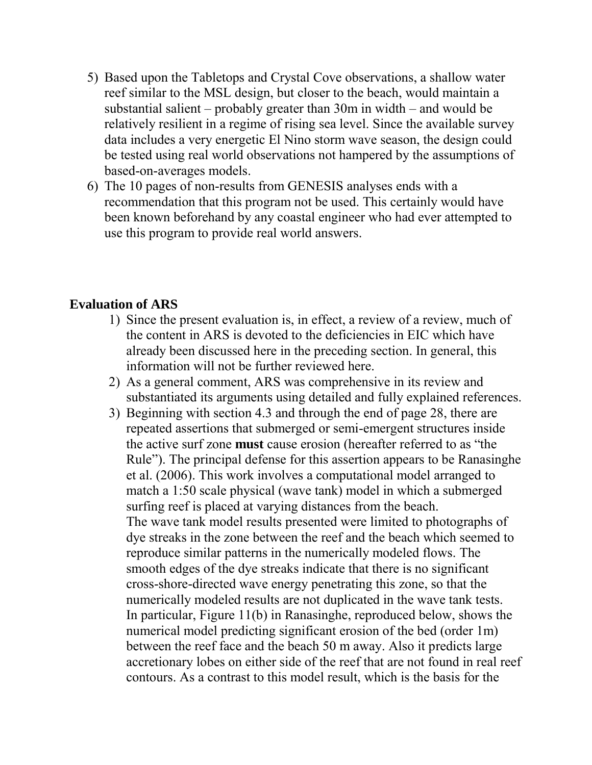- 5) Based upon the Tabletops and Crystal Cove observations, a shallow water reef similar to the MSL design, but closer to the beach, would maintain a substantial salient – probably greater than 30m in width – and would be relatively resilient in a regime of rising sea level. Since the available survey data includes a very energetic El Nino storm wave season, the design could be tested using real world observations not hampered by the assumptions of based-on-averages models.
- 6) The 10 pages of non-results from GENESIS analyses ends with a recommendation that this program not be used. This certainly would have been known beforehand by any coastal engineer who had ever attempted to use this program to provide real world answers.

## **Evaluation of ARS**

- 1) Since the present evaluation is, in effect, a review of a review, much of the content in ARS is devoted to the deficiencies in EIC which have already been discussed here in the preceding section. In general, this information will not be further reviewed here.
- 2) As a general comment, ARS was comprehensive in its review and substantiated its arguments using detailed and fully explained references.
- 3) Beginning with section 4.3 and through the end of page 28, there are repeated assertions that submerged or semi-emergent structures inside the active surf zone **must** cause erosion (hereafter referred to as "the Rule"). The principal defense for this assertion appears to be Ranasinghe et al. (2006). This work involves a computational model arranged to match a 1:50 scale physical (wave tank) model in which a submerged surfing reef is placed at varying distances from the beach. The wave tank model results presented were limited to photographs of dye streaks in the zone between the reef and the beach which seemed to reproduce similar patterns in the numerically modeled flows. The smooth edges of the dye streaks indicate that there is no significant cross-shore-directed wave energy penetrating this zone, so that the numerically modeled results are not duplicated in the wave tank tests. In particular, Figure 11(b) in Ranasinghe, reproduced below, shows the numerical model predicting significant erosion of the bed (order 1m) between the reef face and the beach 50 m away. Also it predicts large accretionary lobes on either side of the reef that are not found in real reef contours. As a contrast to this model result, which is the basis for the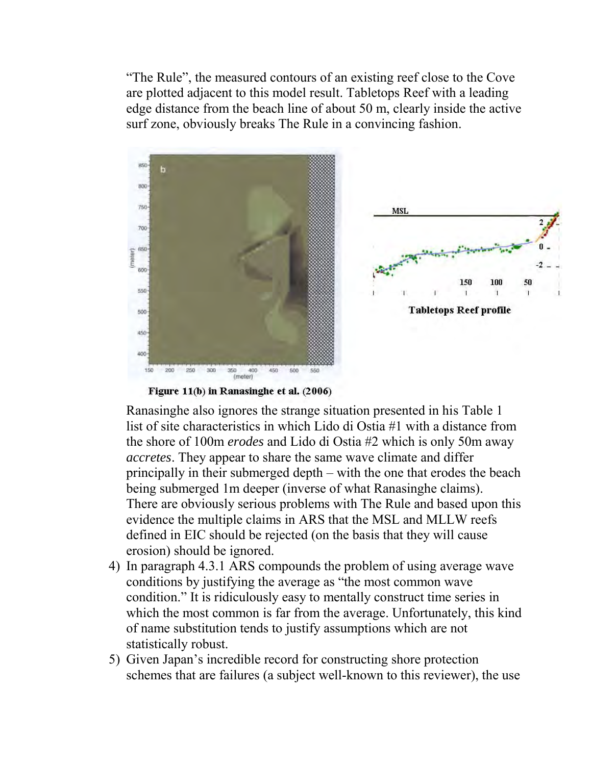"The Rule", the measured contours of an existing reef close to the Cove are plotted adjacent to this model result. Tabletops Reef with a leading edge distance from the beach line of about 50 m, clearly inside the active surf zone, obviously breaks The Rule in a convincing fashion.



Figure 11(b) in Ranasinghe et al. (2006)

Ranasinghe also ignores the strange situation presented in his Table 1 list of site characteristics in which Lido di Ostia #1 with a distance from the shore of 100m *erodes* and Lido di Ostia #2 which is only 50m away *accretes*. They appear to share the same wave climate and differ principally in their submerged depth – with the one that erodes the beach being submerged 1m deeper (inverse of what Ranasinghe claims). There are obviously serious problems with The Rule and based upon this evidence the multiple claims in ARS that the MSL and MLLW reefs defined in EIC should be rejected (on the basis that they will cause erosion) should be ignored.

- 4) In paragraph 4.3.1 ARS compounds the problem of using average wave conditions by justifying the average as "the most common wave condition." It is ridiculously easy to mentally construct time series in which the most common is far from the average. Unfortunately, this kind of name substitution tends to justify assumptions which are not statistically robust.
- 5) Given Japan's incredible record for constructing shore protection schemes that are failures (a subject well-known to this reviewer), the use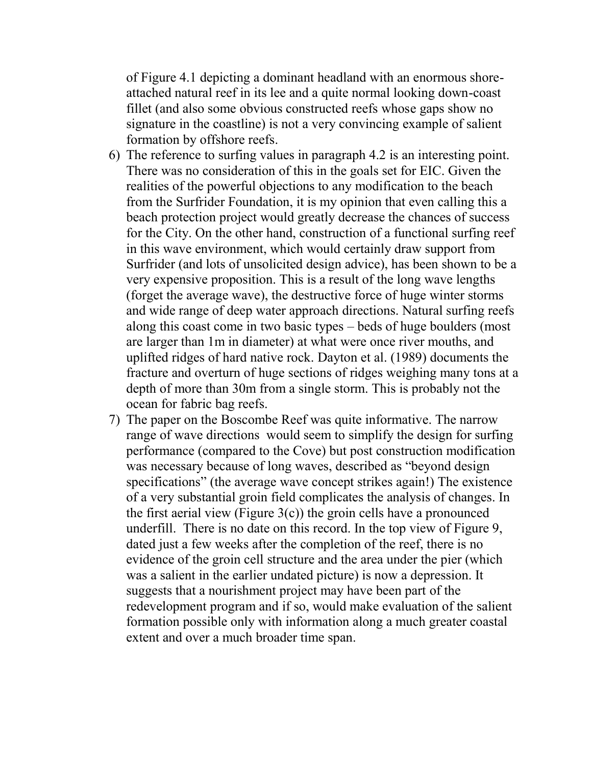of Figure 4.1 depicting a dominant headland with an enormous shoreattached natural reef in its lee and a quite normal looking down-coast fillet (and also some obvious constructed reefs whose gaps show no signature in the coastline) is not a very convincing example of salient formation by offshore reefs.

- 6) The reference to surfing values in paragraph 4.2 is an interesting point. There was no consideration of this in the goals set for EIC. Given the realities of the powerful objections to any modification to the beach from the Surfrider Foundation, it is my opinion that even calling this a beach protection project would greatly decrease the chances of success for the City. On the other hand, construction of a functional surfing reef in this wave environment, which would certainly draw support from Surfrider (and lots of unsolicited design advice), has been shown to be a very expensive proposition. This is a result of the long wave lengths (forget the average wave), the destructive force of huge winter storms and wide range of deep water approach directions. Natural surfing reefs along this coast come in two basic types – beds of huge boulders (most are larger than 1m in diameter) at what were once river mouths, and uplifted ridges of hard native rock. Dayton et al. (1989) documents the fracture and overturn of huge sections of ridges weighing many tons at a depth of more than 30m from a single storm. This is probably not the ocean for fabric bag reefs.
- 7) The paper on the Boscombe Reef was quite informative. The narrow range of wave directions would seem to simplify the design for surfing performance (compared to the Cove) but post construction modification was necessary because of long waves, described as "beyond design specifications" (the average wave concept strikes again!) The existence of a very substantial groin field complicates the analysis of changes. In the first aerial view (Figure  $3(c)$ ) the groin cells have a pronounced underfill. There is no date on this record. In the top view of Figure 9, dated just a few weeks after the completion of the reef, there is no evidence of the groin cell structure and the area under the pier (which was a salient in the earlier undated picture) is now a depression. It suggests that a nourishment project may have been part of the redevelopment program and if so, would make evaluation of the salient formation possible only with information along a much greater coastal extent and over a much broader time span.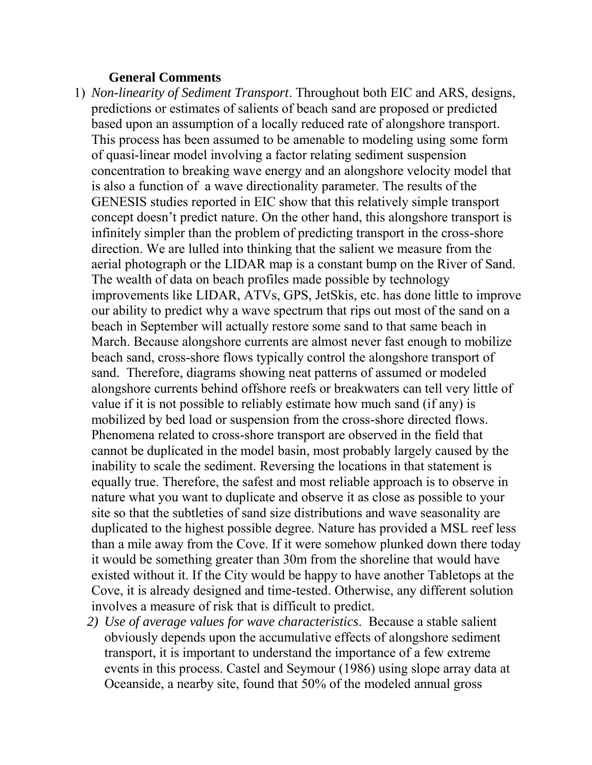#### **General Comments**

- 1) *Non-linearity of Sediment Transport*. Throughout both EIC and ARS, designs, predictions or estimates of salients of beach sand are proposed or predicted based upon an assumption of a locally reduced rate of alongshore transport. This process has been assumed to be amenable to modeling using some form of quasi-linear model involving a factor relating sediment suspension concentration to breaking wave energy and an alongshore velocity model that is also a function of a wave directionality parameter. The results of the GENESIS studies reported in EIC show that this relatively simple transport concept doesn't predict nature. On the other hand, this alongshore transport is infinitely simpler than the problem of predicting transport in the cross-shore direction. We are lulled into thinking that the salient we measure from the aerial photograph or the LIDAR map is a constant bump on the River of Sand. The wealth of data on beach profiles made possible by technology improvements like LIDAR, ATVs, GPS, JetSkis, etc. has done little to improve our ability to predict why a wave spectrum that rips out most of the sand on a beach in September will actually restore some sand to that same beach in March. Because alongshore currents are almost never fast enough to mobilize beach sand, cross-shore flows typically control the alongshore transport of sand. Therefore, diagrams showing neat patterns of assumed or modeled alongshore currents behind offshore reefs or breakwaters can tell very little of value if it is not possible to reliably estimate how much sand (if any) is mobilized by bed load or suspension from the cross-shore directed flows. Phenomena related to cross-shore transport are observed in the field that cannot be duplicated in the model basin, most probably largely caused by the inability to scale the sediment. Reversing the locations in that statement is equally true. Therefore, the safest and most reliable approach is to observe in nature what you want to duplicate and observe it as close as possible to your site so that the subtleties of sand size distributions and wave seasonality are duplicated to the highest possible degree. Nature has provided a MSL reef less than a mile away from the Cove. If it were somehow plunked down there today it would be something greater than 30m from the shoreline that would have existed without it. If the City would be happy to have another Tabletops at the Cove, it is already designed and time-tested. Otherwise, any different solution involves a measure of risk that is difficult to predict.
	- *2) Use of average values for wave characteristics*. Because a stable salient obviously depends upon the accumulative effects of alongshore sediment transport, it is important to understand the importance of a few extreme events in this process. Castel and Seymour (1986) using slope array data at Oceanside, a nearby site, found that 50% of the modeled annual gross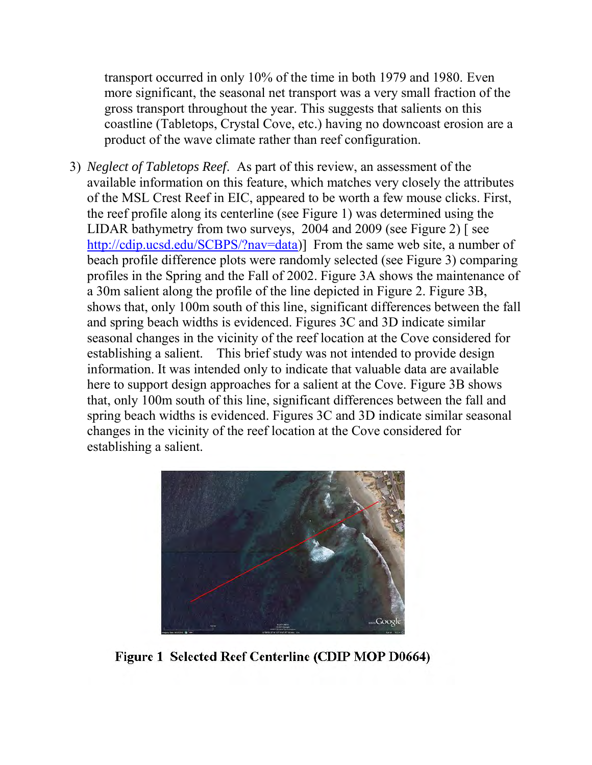transport occurred in only 10% of the time in both 1979 and 1980. Even more significant, the seasonal net transport was a very small fraction of the gross transport throughout the year. This suggests that salients on this coastline (Tabletops, Crystal Cove, etc.) having no downcoast erosion are a product of the wave climate rather than reef configuration.

3) *Neglect of Tabletops Reef*. As part of this review, an assessment of the available information on this feature, which matches very closely the attributes of the MSL Crest Reef in EIC, appeared to be worth a few mouse clicks. First, the reef profile along its centerline (see Figure 1) was determined using the LIDAR bathymetry from two surveys, 2004 and 2009 (see Figure 2) [ see [http://cdip.ucsd.edu/SCBPS/?nav=data\)](http://cdip.ucsd.edu/SCBPS/?nav=data)] From the same web site, a number of beach profile difference plots were randomly selected (see Figure 3) comparing profiles in the Spring and the Fall of 2002. Figure 3A shows the maintenance of a 30m salient along the profile of the line depicted in Figure 2. Figure 3B, shows that, only 100m south of this line, significant differences between the fall and spring beach widths is evidenced. Figures 3C and 3D indicate similar seasonal changes in the vicinity of the reef location at the Cove considered for establishing a salient. This brief study was not intended to provide design information. It was intended only to indicate that valuable data are available here to support design approaches for a salient at the Cove. Figure 3B shows that, only 100m south of this line, significant differences between the fall and spring beach widths is evidenced. Figures 3C and 3D indicate similar seasonal changes in the vicinity of the reef location at the Cove considered for establishing a salient.



Figure 1 Selected Reef Centerline (CDIP MOP D0664)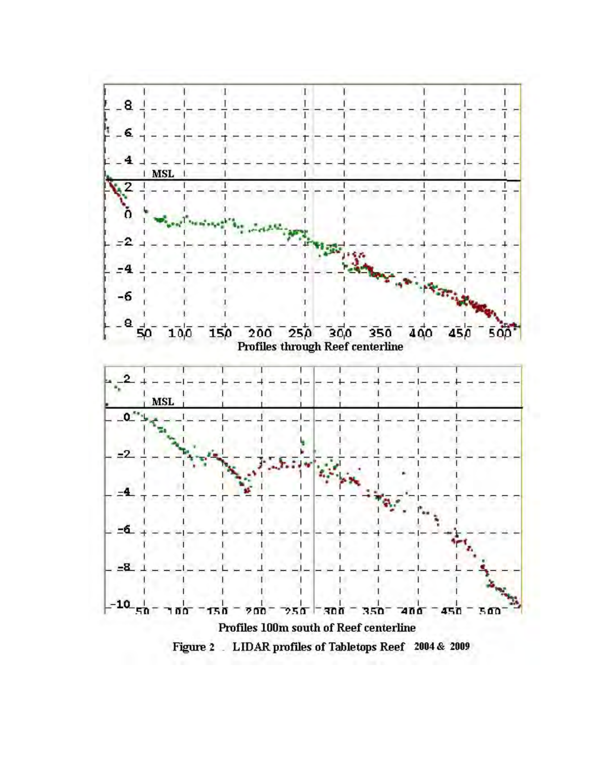

Figure 2 LIDAR profiles of Tabletops Reef 2004 & 2009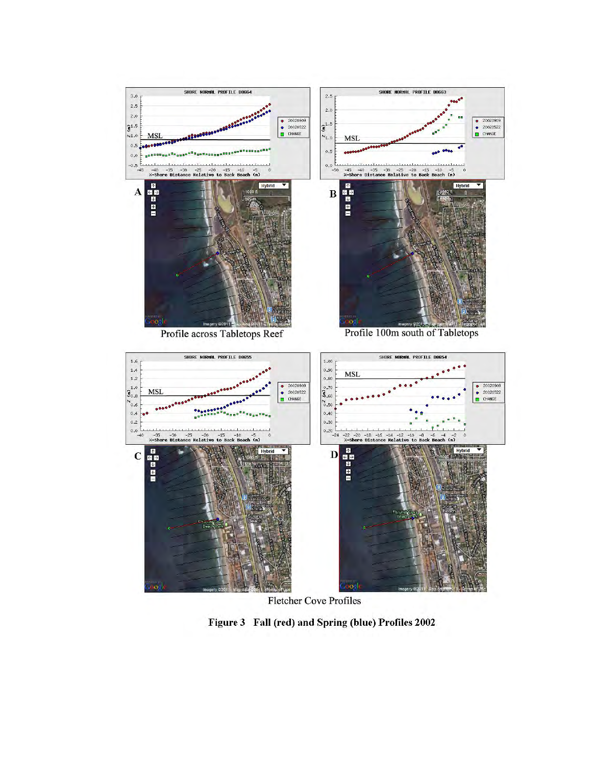

**Fletcher Cove Profiles** 

Figure 3 Fall (red) and Spring (blue) Profiles 2002